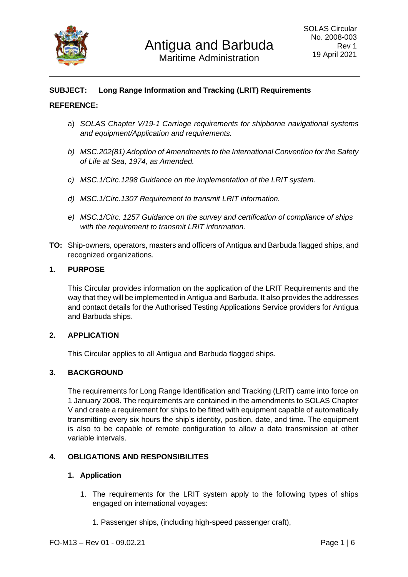

# **SUBJECT: Long Range Information and Tracking (LRIT) Requirements**

### **REFERENCE:**

- a) *SOLAS Chapter V/19-1 Carriage requirements for shipborne navigational systems and equipment/Application and requirements.*
- *b) MSC.202(81) Adoption of Amendments to the International Convention for the Safety of Life at Sea, 1974, as Amended.*
- *c) MSC.1/Circ.1298 Guidance on the implementation of the LRIT system.*
- *d) MSC.1/Circ.1307 Requirement to transmit LRIT information.*
- *e) MSC.1/Circ. 1257 Guidance on the survey and certification of compliance of ships with the requirement to transmit LRIT information.*
- **TO:** Ship-owners, operators, masters and officers of Antigua and Barbuda flagged ships, and recognized organizations.

### **1. PURPOSE**

This Circular provides information on the application of the LRIT Requirements and the way that they will be implemented in Antigua and Barbuda. It also provides the addresses and contact details for the Authorised Testing Applications Service providers for Antigua and Barbuda ships.

### **2. APPLICATION**

This Circular applies to all Antigua and Barbuda flagged ships.

#### **3. BACKGROUND**

The requirements for Long Range Identification and Tracking (LRIT) came into force on 1 January 2008. The requirements are contained in the amendments to SOLAS Chapter V and create a requirement for ships to be fitted with equipment capable of automatically transmitting every six hours the ship's identity, position, date, and time. The equipment is also to be capable of remote configuration to allow a data transmission at other variable intervals.

### **4. OBLIGATIONS AND RESPONSIBILITES**

#### **1. Application**

- 1. The requirements for the LRIT system apply to the following types of ships engaged on international voyages:
	- 1. Passenger ships, (including high-speed passenger craft),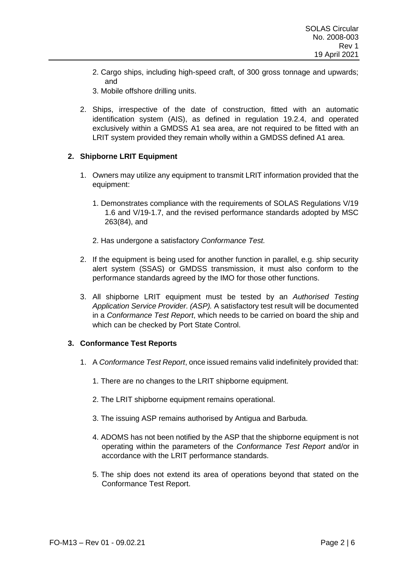- 2. Cargo ships, including high-speed craft, of 300 gross tonnage and upwards; and
- 3. Mobile offshore drilling units.
- 2. Ships, irrespective of the date of construction, fitted with an automatic identification system (AIS), as defined in regulation 19.2.4, and operated exclusively within a GMDSS A1 sea area, are not required to be fitted with an LRIT system provided they remain wholly within a GMDSS defined A1 area.

## **2. Shipborne LRIT Equipment**

- 1. Owners may utilize any equipment to transmit LRIT information provided that the equipment:
	- 1. Demonstrates compliance with the requirements of SOLAS Regulations V/19 1.6 and V/19-1.7, and the revised performance standards adopted by MSC 263(84), and
	- 2. Has undergone a satisfactory *Conformance Test.*
- 2. If the equipment is being used for another function in parallel, e.g. ship security alert system (SSAS) or GMDSS transmission, it must also conform to the performance standards agreed by the IMO for those other functions.
- 3. All shipborne LRIT equipment must be tested by an *Authorised Testing Application Service Provider. (ASP).* A satisfactory test result will be documented in a *Conformance Test Report*, which needs to be carried on board the ship and which can be checked by Port State Control.

### **3. Conformance Test Reports**

- 1. A *Conformance Test Report*, once issued remains valid indefinitely provided that:
	- 1. There are no changes to the LRIT shipborne equipment.
	- 2. The LRIT shipborne equipment remains operational.
	- 3. The issuing ASP remains authorised by Antigua and Barbuda.
	- 4. ADOMS has not been notified by the ASP that the shipborne equipment is not operating within the parameters of the *Conformance Test Report* and/or in accordance with the LRIT performance standards.
	- 5. The ship does not extend its area of operations beyond that stated on the Conformance Test Report.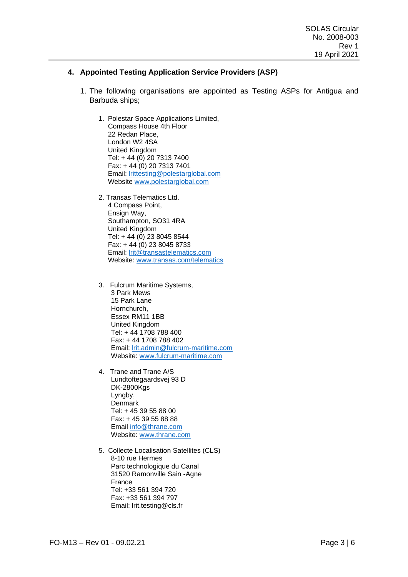## **4. Appointed Testing Application Service Providers (ASP)**

- 1. The following organisations are appointed as Testing ASPs for Antigua and Barbuda ships;
	- 1. Polestar Space Applications Limited, Compass House 4th Floor 22 Redan Place, London W2 4SA United Kingdom Tel: + 44 (0) 20 7313 7400 Fax: + 44 (0) 20 7313 7401 Email: [lrittesting@polestarglobal.com](mailto:lrittesting@polestarglobal.com) Website [www.polestarglobal.com](http://www.polestarglobal.com/)
	- 2. Transas Telematics Ltd. 4 Compass Point, Ensign Way, Southampton, SO31 4RA United Kingdom Tel: + 44 (0) 23 8045 8544 Fax: + 44 (0) 23 8045 8733 Email: [lrit@transastelematics.com](mailto:lrit@transastelematics.com) Website: [www.transas.com/telematics](http://www.transas.com/telematics)
	- 3. Fulcrum Maritime Systems, 3 Park Mews 15 Park Lane Hornchurch, Essex RM11 1BB United Kingdom Tel: + 44 1708 788 400 Fax: + 44 1708 788 402 Email: [lrit.admin@fulcrum-maritime.com](mailto:lrit.admin@fulcrum-maritime.com) Website: [www.fulcrum-maritime.com](http://www.fulcrum-maritime.com/)
	- 4. Trane and Trane A/S Lundtoftegaardsvej 93 D DK-2800Kgs Lyngby, Denmark Tel: + 45 39 55 88 00 Fax: + 45 39 55 88 88 Email [info@thrane.com](mailto:info@thrane.com) Website: [www.thrane.com](http://www.thrane.com/)
	- 5. Collecte Localisation Satellites (CLS) 8-10 rue Hermes Parc technologique du Canal 31520 Ramonville Sain -Agne France Tel: +33 561 394 720 Fax: +33 561 394 797 Email: lrit.testing@cls.fr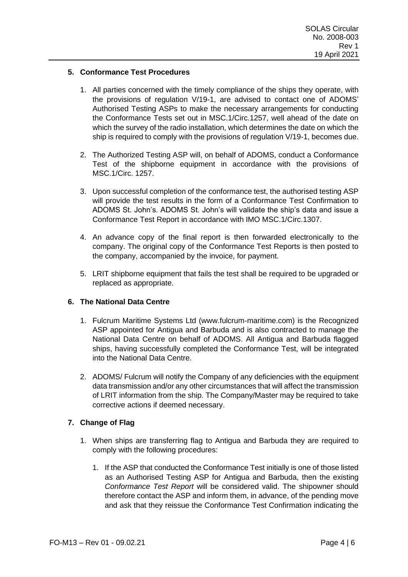## **5. Conformance Test Procedures**

- 1. All parties concerned with the timely compliance of the ships they operate, with the provisions of regulation V/19-1, are advised to contact one of ADOMS' Authorised Testing ASPs to make the necessary arrangements for conducting the Conformance Tests set out in MSC.1/Circ.1257, well ahead of the date on which the survey of the radio installation, which determines the date on which the ship is required to comply with the provisions of regulation V/19-1, becomes due.
- 2. The Authorized Testing ASP will, on behalf of ADOMS, conduct a Conformance Test of the shipborne equipment in accordance with the provisions of MSC.1/Circ. 1257.
- 3. Upon successful completion of the conformance test, the authorised testing ASP will provide the test results in the form of a Conformance Test Confirmation to ADOMS St. John's. ADOMS St. John's will validate the ship's data and issue a Conformance Test Report in accordance with IMO MSC.1/Circ.1307.
- 4. An advance copy of the final report is then forwarded electronically to the company. The original copy of the Conformance Test Reports is then posted to the company, accompanied by the invoice, for payment.
- 5. LRIT shipborne equipment that fails the test shall be required to be upgraded or replaced as appropriate.

### **6. The National Data Centre**

- 1. Fulcrum Maritime Systems Ltd (www.fulcrum-maritime.com) is the Recognized ASP appointed for Antigua and Barbuda and is also contracted to manage the National Data Centre on behalf of ADOMS. All Antigua and Barbuda flagged ships, having successfully completed the Conformance Test, will be integrated into the National Data Centre.
- 2. ADOMS/ Fulcrum will notify the Company of any deficiencies with the equipment data transmission and/or any other circumstances that will affect the transmission of LRIT information from the ship. The Company/Master may be required to take corrective actions if deemed necessary.

# **7. Change of Flag**

- 1. When ships are transferring flag to Antigua and Barbuda they are required to comply with the following procedures:
	- 1. If the ASP that conducted the Conformance Test initially is one of those listed as an Authorised Testing ASP for Antigua and Barbuda, then the existing *Conformance Test Report* will be considered valid. The shipowner should therefore contact the ASP and inform them, in advance, of the pending move and ask that they reissue the Conformance Test Confirmation indicating the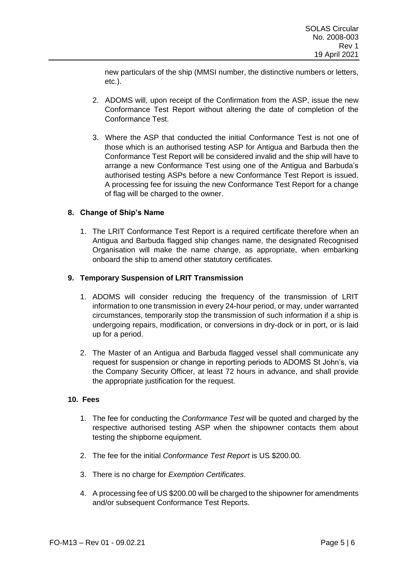new particulars of the ship (MMSI number, the distinctive numbers or letters, etc.).

- 2. ADOMS will, upon receipt of the Confirmation from the ASP, issue the new Conformance Test Report without altering the date of completion of the Conformance Test.
- 3. Where the ASP that conducted the initial Conformance Test is not one of those which is an authorised testing ASP for Antigua and Barbuda then the Conformance Test Report will be considered invalid and the ship will have to arrange a new Conformance Test using one of the Antigua and Barbuda's authorised testing ASPs before a new Conformance Test Report is issued. A processing fee for issuing the new Conformance Test Report for a change of flag will be charged to the owner.

# **8. Change of Ship's Name**

1. The LRIT Conformance Test Report is a required certificate therefore when an Antigua and Barbuda flagged ship changes name, the designated Recognised Organisation will make the name change, as appropriate, when embarking onboard the ship to amend other statutory certificates.

## **9. Temporary Suspension of LRIT Transmission**

- 1. ADOMS will consider reducing the frequency of the transmission of LRIT information to one transmission in every 24-hour period, or may, under warranted circumstances, temporarily stop the transmission of such information if a ship is undergoing repairs, modification, or conversions in dry-dock or in port, or is laid up for a period.
- 2. The Master of an Antigua and Barbuda flagged vessel shall communicate any request for suspension or change in reporting periods to ADOMS St John's, via the Company Security Officer, at least 72 hours in advance, and shall provide the appropriate justification for the request.

### **10. Fees**

- 1. The fee for conducting the *Conformance Test* will be quoted and charged by the respective authorised testing ASP when the shipowner contacts them about testing the shipborne equipment.
- 2. The fee for the initial *Conformance Test Report* is US \$200.00.
- 3. There is no charge for *Exemption Certificates*.
- 4. A processing fee of US \$200.00 will be charged to the shipowner for amendments and/or subsequent Conformance Test Reports.